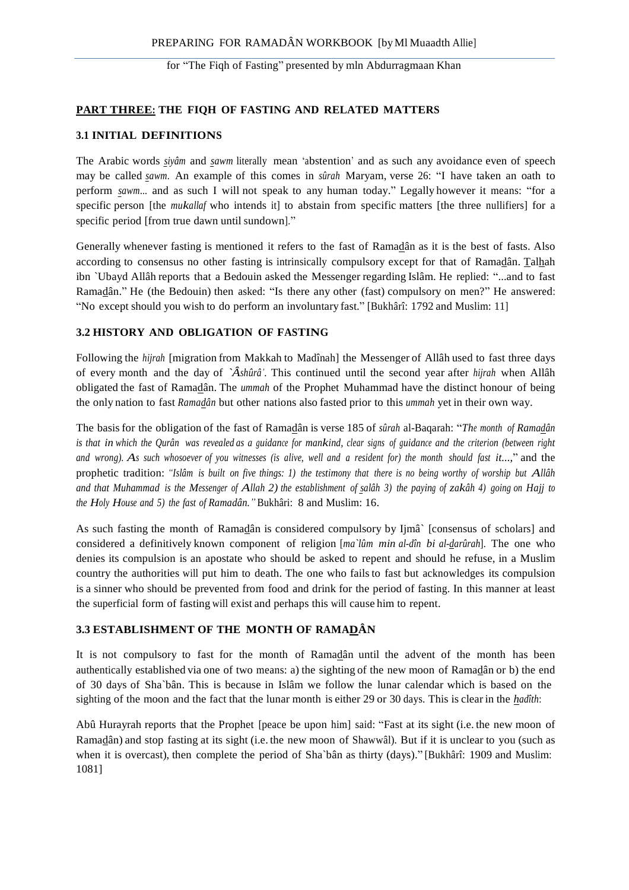## **PART THREE: THE FIQH OF FASTING AND RELATED MATTERS**

#### **3.1 INITIAL DEFINITIONS**

The Arabic words *siyâm* and *sawm* literally mean 'abstention' and as such any avoidance even of speech may be called *sawm*. An example of this comes in *sûrah* Maryam, verse 26: "I have taken an oath to perform *sawm*... and as such I will not speak to any human today." Legally however it means: "for a specific person [the *mukallaf* who intends it] to abstain from specific matters [the three nullifiers] for a specific period [from true dawn until sundown]."

Generally whenever fasting is mentioned it refers to the fast of Ramadân as it is the best of fasts. Also according to consensus no other fasting is intrinsically compulsory except for that of Ramadân. Talhah ibn `Ubayd Allâh reports that a Bedouin asked the Messenger regarding Islâm. He replied: "...and to fast Ramadân." He (the Bedouin) then asked: "Is there any other (fast) compulsory on men?" He answered: "No except should you wish to do perform an involuntary fast." [Bukhârî: 1792 and Muslim: 11]

#### **3.2 HISTORY AND OBLIGATION OF FASTING**

Following the *hijrah* [migration from Makkah to Madînah] the Messenger of Allâh used to fast three days of every month and the day of *`Âshûrâ'*. This continued until the second year after *hijrah* when Allâh obligated the fast of Ramadân. The *ummah* of the Prophet Muhammad have the distinct honour of being the only nation to fast *Ramadân* but other nations also fasted prior to this *ummah* yet in their own way.

The basis for the obligation of the fast of Ramadân is verse 185 of *sûrah* al-Baqarah: "*The month of Ramadân*  is that in which the Qurân was revealed as a guidance for mankind, clear signs of guidance and the criterion (between right *and wrong). As such whosoever of you witnesses (is alive, well and a resident for) the month should fast it...,*" and the prophetic tradition: *"Islâm is built on five things: 1) the testimony that there is no being worthy of worship but Allâh*  and that Muhammad is the Messenger of Allah 2) the establishment of salâh 3) the paying of zakâh 4) going on Hajj to *the Holy House and 5) the fast of Ramadân."* Bukhâri: 8 and Muslim: 16.

As such fasting the month of Ramadân is considered compulsory by Ijmâ` [consensus of scholars] and considered a definitively known component of religion [*ma`lûm min al-dîn bi al-darûrah*]. The one who denies its compulsion is an apostate who should be asked to repent and should he refuse, in a Muslim country the authorities will put him to death. The one who fails to fast but acknowledges its compulsion is a sinner who should be prevented from food and drink for the period of fasting. In this manner at least the superficial form of fasting will exist and perhaps this will cause him to repent.

### **3.3 ESTABLISHMENT OF THE MONTH OF RAMADÂN**

It is not compulsory to fast for the month of Ramadân until the advent of the month has been authentically established via one of two means: a) the sighting of the new moon of Ramadân or b) the end of 30 days of Sha`bân. This is because in Islâm we follow the lunar calendar which is based on the sighting of the moon and the fact that the lunar month is either 29 or 30 days. This is clear in the *hadîth*:

Abû Hurayrah reports that the Prophet [peace be upon him] said: "Fast at its sight (i.e. the new moon of Ramadân) and stop fasting at its sight (i.e. the new moon of Shawwâl). But if it is unclear to you (such as when it is overcast), then complete the period of Sha`bân as thirty (days)." [Bukhârî: 1909 and Muslim: 1081]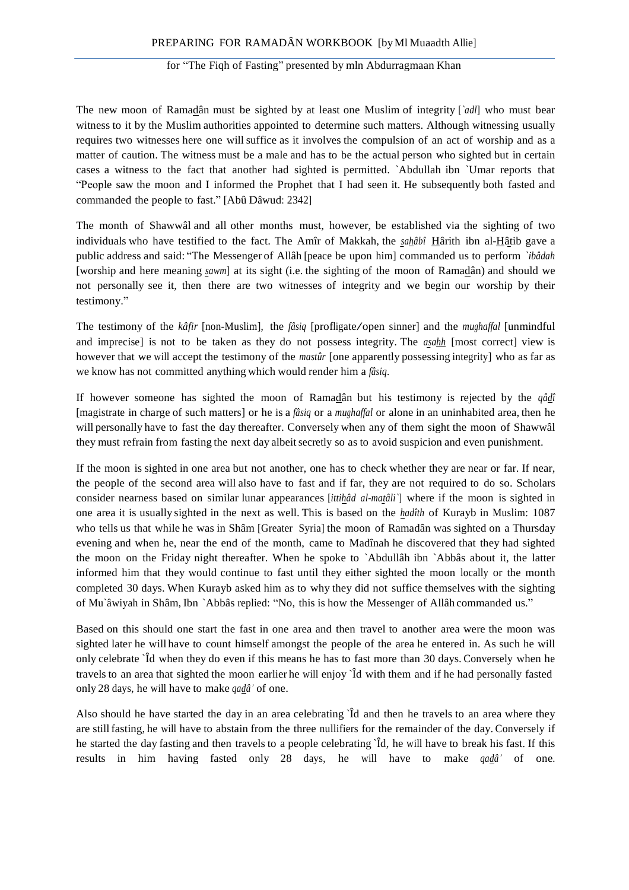The new moon of Ramadân must be sighted by at least one Muslim of integrity [*`adl*] who must bear witness to it by the Muslim authorities appointed to determine such matters. Although witnessing usually requires two witnesses here one will suffice as it involves the compulsion of an act of worship and as a matter of caution. The witness must be a male and has to be the actual person who sighted but in certain cases a witness to the fact that another had sighted is permitted. `Abdullah ibn `Umar reports that "People saw the moon and I informed the Prophet that I had seen it. He subsequently both fasted and commanded the people to fast." [Abû Dâwud: 2342]

The month of Shawwâl and all other months must, however, be established via the sighting of two individuals who have testified to the fact. The Amîr of Makkah, the *sahâbî* Hârith ibn al-Hâtib gave a public address and said: "The Messenger of Allâh [peace be upon him] commanded us to perform *`ibâdah*  [worship and here meaning *sawm*] at its sight (i.e. the sighting of the moon of Ramadân) and should we not personally see it, then there are two witnesses of integrity and we begin our worship by their testimony."

The testimony of the *kâfir* [non-Muslim], the *fâsiq* [profligate/open sinner] and the *mughaffal* [unmindful and imprecise] is not to be taken as they do not possess integrity. The *asahh* [most correct] view is however that we will accept the testimony of the *mastûr* [one apparently possessing integrity] who as far as we know has not committed anything which would render him a *fâsiq*.

If however someone has sighted the moon of Ramadân but his testimony is rejected by the *qâdî*  [magistrate in charge of such matters] or he is a *fâsiq* or a *mughaffal* or alone in an uninhabited area, then he will personally have to fast the day thereafter. Conversely when any of them sight the moon of Shawwâl they must refrain from fasting the next day albeitsecretly so as to avoid suspicion and even punishment.

If the moon is sighted in one area but not another, one has to check whether they are near or far. If near, the people of the second area will also have to fast and if far, they are not required to do so. Scholars consider nearness based on similar lunar appearances [*ittihâd al-matâli`*] where if the moon is sighted in one area it is usually sighted in the next as well. This is based on the *hadîth* of Kurayb in Muslim: 1087 who tells us that while he was in Shâm [Greater Syria] the moon of Ramadân was sighted on a Thursday evening and when he, near the end of the month, came to Madînah he discovered that they had sighted the moon on the Friday night thereafter. When he spoke to `Abdullâh ibn `Abbâs about it, the latter informed him that they would continue to fast until they either sighted the moon locally or the month completed 30 days. When Kurayb asked him as to why they did not suffice themselves with the sighting of Mu`âwiyah in Shâm, Ibn `Abbâs replied: "No, this is how the Messenger of Allâh commanded us."

Based on this should one start the fast in one area and then travel to another area were the moon was sighted later he will have to count himself amongst the people of the area he entered in. As such he will only celebrate `Îd when they do even if this means he has to fast more than 30 days. Conversely when he travels to an area that sighted the moon earlier he will enjoy `Îd with them and if he had personally fasted only 28 days, he will have to make *qadâ'* of one.

Also should he have started the day in an area celebrating `Îd and then he travels to an area where they are stillfasting, he will have to abstain from the three nullifiers for the remainder of the day. Conversely if he started the day fasting and then travels to a people celebrating  $\hat{d}$ , he will have to break his fast. If this results in him having fasted only 28 days, he will have to make *qadâ'* of one.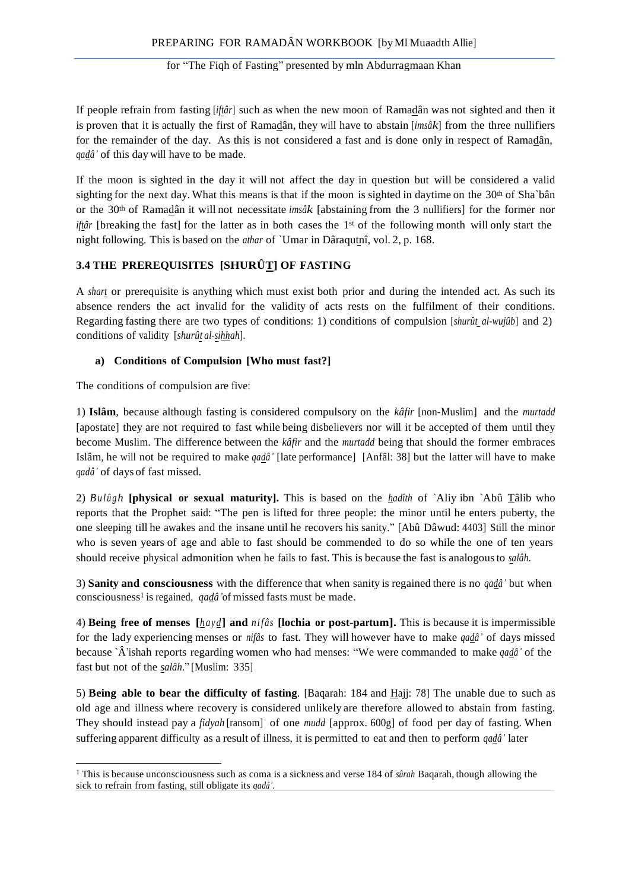If people refrain from fasting [*iftâr*] such as when the new moon of Ramadân was not sighted and then it is proven that it is actually the first of Ramadân, they will have to abstain [*imsâk*] from the three nullifiers for the remainder of the day. As this is not considered a fast and is done only in respect of Ramadân, *qadâ'* of this day will have to be made.

If the moon is sighted in the day it will not affect the day in question but will be considered a valid sighting for the next day. What this means is that if the moon is sighted in daytime on the  $30<sup>th</sup>$  of Sha`bân or the 30th of Ramadân it will not necessitate *imsâk* [abstaining from the 3 nullifiers] for the former nor *iftâr* [breaking the fast] for the latter as in both cases the 1<sup>st</sup> of the following month will only start the night following. This is based on the *athar* of `Umar in Dâraqutnî, vol. 2, p. 168.

# **3.4 THE PREREQUISITES [SHURÛT] OF FASTING**

A *shart* or prerequisite is anything which must exist both prior and during the intended act. As such its absence renders the act invalid for the validity of acts rests on the fulfilment of their conditions. Regarding fasting there are two types of conditions: 1) conditions of compulsion [*shurût al-wujûb*] and 2) conditions of validity [*shurût al-sihhah*].

## **a) Conditions of Compulsion [Who must fast?]**

The conditions of compulsion are five:

1) **Islâm**, because although fasting is considered compulsory on the *kâfir* [non-Muslim] and the *murtadd*  [apostate] they are not required to fast while being disbelievers nor will it be accepted of them until they become Muslim. The difference between the *kâfir* and the *murtadd* being that should the former embraces Islâm, he will not be required to make *qadâ'* [late performance] [Anfâl: 38] but the latter will have to make *qadâ'* of days of fast missed.

2) *Bul û g h* **[physical or sexual maturity].** This is based on the *hadîth* of `Aliy ibn `Abû Tâlib who reports that the Prophet said: "The pen is lifted for three people: the minor until he enters puberty, the one sleeping till he awakes and the insane until he recovers his sanity." [Abû Dâwud: 4403] Still the minor who is seven years of age and able to fast should be commended to do so while the one of ten years should receive physical admonition when he fails to fast. This is because the fast is analogousto *salâh*.

3) **Sanity and consciousness** with the difference that when sanity is regained there is no *qadâ'* but when consciousness<sup>1</sup> is regained, *qadâ* 'of missed fasts must be made.

4) **Being free of menses [***hayd***] and** *nifâs* **[lochia or post-partum].** This is because it is impermissible for the lady experiencing menses or *nifâs* to fast. They will however have to make *qadâ'* of days missed because `Â'ishah reports regarding women who had menses: "We were commanded to make *qadâ'* of the fast but not of the *salâh*." [Muslim: 335]

5) **Being able to bear the difficulty of fasting**. [Baqarah: 184 and Hajj: 78] The unable due to such as old age and illness where recovery is considered unlikely are therefore allowed to abstain from fasting. They should instead pay a *fidyah* [ransom] of one *mudd* [approx. 600g] of food per day of fasting. When suffering apparent difficulty as a result of illness, it is permitted to eat and then to perform *qadâ'* later

<sup>1</sup> This is because unconsciousness such as coma is a sickness and verse 184 of *sûrah* Baqarah, though allowing the sick to refrain from fasting, still obligate its *qadâ'*.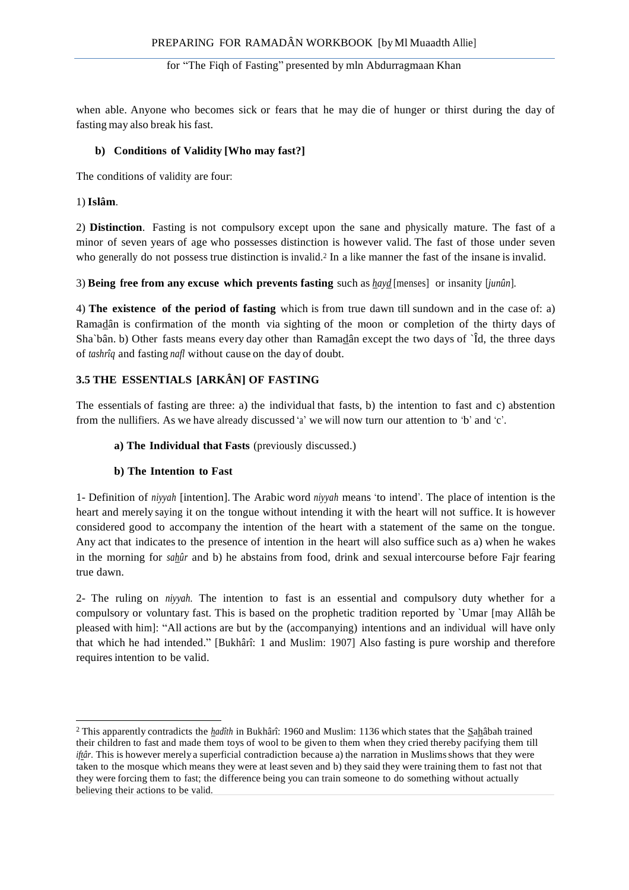when able. Anyone who becomes sick or fears that he may die of hunger or thirst during the day of fasting may also break his fast.

## **b) Conditions of Validity [Who may fast?]**

The conditions of validity are four:

## 1) **Islâm**.

2) **Distinction**. Fasting is not compulsory except upon the sane and physically mature. The fast of a minor of seven years of age who possesses distinction is however valid. The fast of those under seven who generally do not possess true distinction is invalid.<sup>2</sup> In a like manner the fast of the insane is invalid.

3) **Being free from any excuse which prevents fasting** such as *hayd* [menses] or insanity [*junûn*].

4) **The existence of the period of fasting** which is from true dawn till sundown and in the case of: a) Ramadân is confirmation of the month via sighting of the moon or completion of the thirty days of Sha`bân. b) Other fasts means every day other than Ramadân except the two days of `Îd, the three days of *tashrîq* and fasting *nafl* without cause on the day of doubt.

# **3.5 THE ESSENTIALS [ARKÂN] OF FASTING**

The essentials of fasting are three: a) the individual that fasts, b) the intention to fast and c) abstention from the nullifiers. As we have already discussed 'a' we will now turn our attention to 'b' and 'c'.

## **a) The Individual that Fasts** (previously discussed.)

## **b) The Intention to Fast**

1- Definition of *niyyah* [intention]. The Arabic word *niyyah* means 'to intend'. The place of intention is the heart and merely saying it on the tongue without intending it with the heart will not suffice. It is however considered good to accompany the intention of the heart with a statement of the same on the tongue. Any act that indicates to the presence of intention in the heart will also suffice such as a) when he wakes in the morning for *sahûr* and b) he abstains from food, drink and sexual intercourse before Fajr fearing true dawn.

2- The ruling on *niyyah*. The intention to fast is an essential and compulsory duty whether for a compulsory or voluntary fast. This is based on the prophetic tradition reported by `Umar [may Allâh be pleased with him]: "All actions are but by the (accompanying) intentions and an individual will have only that which he had intended." [Bukhârî: 1 and Muslim: 1907] Also fasting is pure worship and therefore requires intention to be valid.

<sup>&</sup>lt;sup>2</sup> This apparently contradicts the *hadîth* in Bukhârî: 1960 and Muslim: 1136 which states that the *Sahâbah trained* their children to fast and made them toys of wool to be given to them when they cried thereby pacifying them till *iftâr*. This is however merely a superficial contradiction because a) the narration in Muslims shows that they were taken to the mosque which means they were at least seven and b) they said they were training them to fast not that they were forcing them to fast; the difference being you can train someone to do something without actually believing their actions to be valid.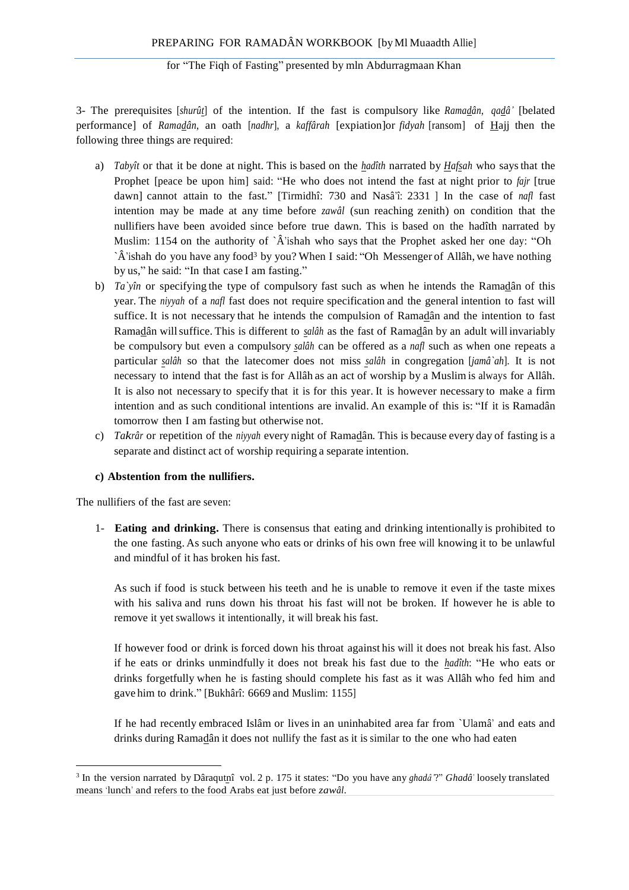3- The prerequisites [*shurût*] of the intention. If the fast is compulsory like *Ramadân*, *qadâ'* [belated performance] of *Ramadân*, an oath [*nadhr*], a *kaffârah* [expiation]or *fidyah* [ransom] of Hajj then the following three things are required:

- a) *Tabyît* or that it be done at night. This is based on the *hadîth* narrated by *Hafsah* who saysthat the Prophet [peace be upon him] said: "He who does not intend the fast at night prior to *fajr* [true dawn] cannot attain to the fast." [Tirmidhî: 730 and Nasâ'î: 2331 ] In the case of *nafl* fast intention may be made at any time before *zawâl* (sun reaching zenith) on condition that the nullifiers have been avoided since before true dawn. This is based on the hadîth narrated by Muslim: 1154 on the authority of `Â'ishah who says that the Prophet asked her one day: "Oh `Â'ishah do you have any food<sup>3</sup> by you? When I said: "Oh Messenger of Allâh, we have nothing by us," he said: "In that case I am fasting."
- b) *Ta`yîn* or specifying the type of compulsory fast such as when he intends the Ramadân of this year. The *niyyah* of a *nafl* fast does not require specification and the general intention to fast will suffice. It is not necessary that he intends the compulsion of Ramadân and the intention to fast Ramadân willsuffice. This is different to *salâh* as the fast of Ramadân by an adult will invariably be compulsory but even a compulsory *salâh* can be offered as a *nafl* such as when one repeats a particular *salâh* so that the latecomer does not miss *salâh* in congregation [*jamâ`ah*]. It is not necessary to intend that the fast is for Allâh as an act of worship by a Muslim is always for Allâh. It is also not necessary to specify that it is for this year. It is however necessary to make a firm intention and as such conditional intentions are invalid. An example of this is: "If it is Ramadân tomorrow then I am fasting but otherwise not.
- c) *Takrâr* or repetition of the *niyyah* every night of Ramadân*.* This is because every day of fasting is a separate and distinct act of worship requiring a separate intention.

## **c) Abstention from the nullifiers.**

The nullifiers of the fast are seven:

1- **Eating and drinking.** There is consensus that eating and drinking intentionally is prohibited to the one fasting. As such anyone who eats or drinks of his own free will knowing it to be unlawful and mindful of it has broken his fast.

As such if food is stuck between his teeth and he is unable to remove it even if the taste mixes with his saliva and runs down his throat his fast will not be broken. If however he is able to remove it yet swallows it intentionally, it will break his fast.

If however food or drink is forced down his throat against his will it does not break his fast. Also if he eats or drinks unmindfully it does not break his fast due to the *hadîth*: "He who eats or drinks forgetfully when he is fasting should complete his fast as it was Allâh who fed him and gave him to drink." [Bukhârî: 6669 and Muslim: 1155]

If he had recently embraced Islâm or lives in an uninhabited area far from `Ulamâ' and eats and drinks during Ramadân it does not nullify the fast as it is similar to the one who had eaten

<sup>&</sup>lt;sup>3</sup> In the version narrated by Dâraqutnî vol. 2 p. 175 it states: "Do you have any *ghadâ'*?" *Ghadâ'* loosely translated means 'lunch' and refers to the food Arabs eat just before *zawâl*.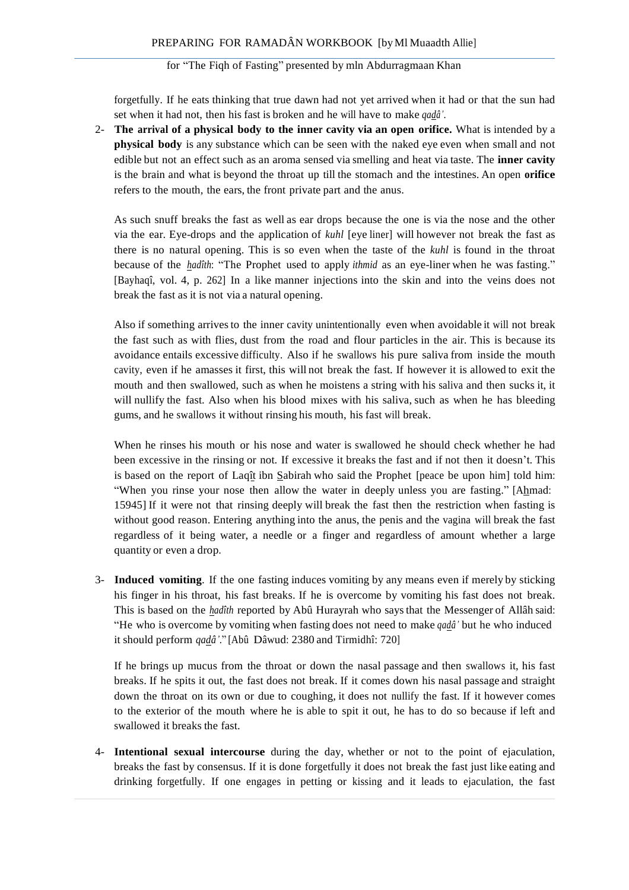forgetfully. If he eats thinking that true dawn had not yet arrived when it had or that the sun had set when it had not, then his fast is broken and he will have to make *qadâ'*.

2- **The arrival of a physical body to the inner cavity via an open orifice.** What is intended by a **physical body** is any substance which can be seen with the naked eye even when small and not edible but not an effect such as an aroma sensed via smelling and heat via taste. The **inner cavity**  is the brain and what is beyond the throat up till the stomach and the intestines. An open **orifice**  refers to the mouth, the ears, the front private part and the anus.

As such snuff breaks the fast as well as ear drops because the one is via the nose and the other via the ear. Eye-drops and the application of *kuhl* [eye liner] will however not break the fast as there is no natural opening. This is so even when the taste of the *kuhl* is found in the throat because of the *hadîth*: "The Prophet used to apply *ithmid* as an eye-liner when he was fasting." [Bayhaqî, vol. 4, p. 262] In a like manner injections into the skin and into the veins does not break the fast as it is not via a natural opening.

Also if something arrives to the inner cavity unintentionally even when avoidable it will not break the fast such as with flies, dust from the road and flour particles in the air. This is because its avoidance entails excessive difficulty. Also if he swallows his pure saliva from inside the mouth cavity, even if he amasses it first, this will not break the fast. If however it is allowed to exit the mouth and then swallowed, such as when he moistens a string with his saliva and then sucks it, it will nullify the fast. Also when his blood mixes with his saliva, such as when he has bleeding gums, and he swallows it without rinsing his mouth, his fast will break.

When he rinses his mouth or his nose and water is swallowed he should check whether he had been excessive in the rinsing or not. If excessive it breaks the fast and if not then it doesn't. This is based on the report of Laqît ibn Sabirah who said the Prophet [peace be upon him] told him: "When you rinse your nose then allow the water in deeply unless you are fasting." [Ahmad: 15945] If it were not that rinsing deeply will break the fast then the restriction when fasting is without good reason. Entering anything into the anus, the penis and the vagina will break the fast regardless of it being water, a needle or a finger and regardless of amount whether a large quantity or even a drop.

3- **Induced vomiting**. If the one fasting induces vomiting by any means even if merely by sticking his finger in his throat, his fast breaks. If he is overcome by vomiting his fast does not break. This is based on the *hadîth* reported by Abû Hurayrah who saysthat the Messenger of Allâh said: "He who is overcome by vomiting when fasting does not need to make *qadâ'* but he who induced it should perform *qadâ'*." [Abû Dâwud: 2380 and Tirmidhî: 720]

If he brings up mucus from the throat or down the nasal passage and then swallows it, his fast breaks. If he spits it out, the fast does not break. If it comes down his nasal passage and straight down the throat on its own or due to coughing, it does not nullify the fast. If it however comes to the exterior of the mouth where he is able to spit it out, he has to do so because if left and swallowed it breaks the fast.

4- **Intentional sexual intercourse** during the day, whether or not to the point of ejaculation, breaks the fast by consensus. If it is done forgetfully it does not break the fast just like eating and drinking forgetfully. If one engages in petting or kissing and it leads to ejaculation, the fast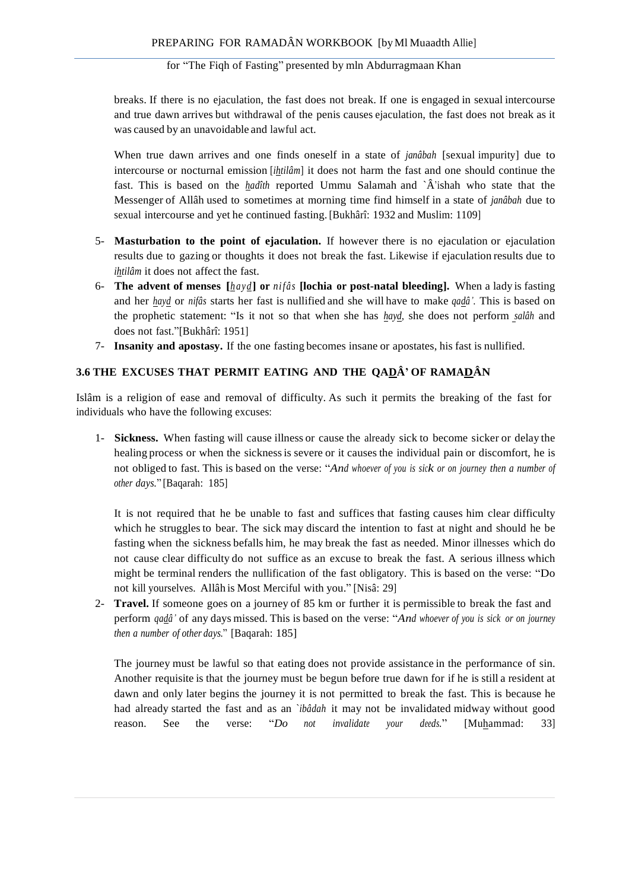breaks. If there is no ejaculation, the fast does not break. If one is engaged in sexual intercourse and true dawn arrives but withdrawal of the penis causes ejaculation, the fast does not break as it was caused by an unavoidable and lawful act.

When true dawn arrives and one finds oneself in a state of *janâbah* [sexual impurity] due to intercourse or nocturnal emission [*ihtilâm*] it does not harm the fast and one should continue the fast. This is based on the *hadîth* reported Ummu Salamah and `Â'ishah who state that the Messenger of Allâh used to sometimes at morning time find himself in a state of *janâbah* due to sexual intercourse and yet he continued fasting.[Bukhârî: 1932 and Muslim: 1109]

- 5- **Masturbation to the point of ejaculation.** If however there is no ejaculation or ejaculation results due to gazing or thoughts it does not break the fast. Likewise if ejaculation results due to *ihtilâm* it does not affect the fast.
- 6- **The advent of menses [***h ayd***] or** *nifâs* **[lochia or post-natal bleeding].** When a lady is fasting and her *hayd* or *nifâs* starts her fast is nullified and she will have to make *qadâ'*. This is based on the prophetic statement: "Is it not so that when she has *hayd*, she does not perform *salâh* and does not fast."[Bukhârî: 1951]
- 7- **Insanity and apostasy.** If the one fasting becomes insane or apostates, his fast is nullified.

# **3.6 THE EXCUSES THAT PERMIT EATING AND THE QADÂ' OF RAMADÂN**

Islâm is a religion of ease and removal of difficulty. As such it permits the breaking of the fast for individuals who have the following excuses:

1- **Sickness.** When fasting will cause illness or cause the already sick to become sicker or delay the healing process or when the sicknessis severe or it causes the individual pain or discomfort, he is not obliged to fast. This is based on the verse: "*And whoever of you is sick or on journey then <sup>a</sup> number of other days.*" [Baqarah: 185]

It is not required that he be unable to fast and suffices that fasting causes him clear difficulty which he struggles to bear. The sick may discard the intention to fast at night and should he be fasting when the sickness befalls him, he may break the fast as needed. Minor illnesses which do not cause clear difficulty do not suffice as an excuse to break the fast. A serious illness which might be terminal renders the nullification of the fast obligatory. This is based on the verse: "Do not kill yourselves. Allâh is Most Merciful with you." [Nisâ: 29]

2- **Travel.** If someone goes on a journey of 85 km or further it is permissible to break the fast and perform *qadâ'* of any days missed. This is based on the verse: "*And whoever of you is sick or on journey then a number of other days.*" [Baqarah: 185]

The journey must be lawful so that eating does not provide assistance in the performance of sin. Another requisite is that the journey must be begun before true dawn for if he is still a resident at dawn and only later begins the journey it is not permitted to break the fast. This is because he had already started the fast and as an `*ibâdah* it may not be invalidated midway without good reason. See the verse: "*Do not invalidate your deeds.*" [Muhammad: 33]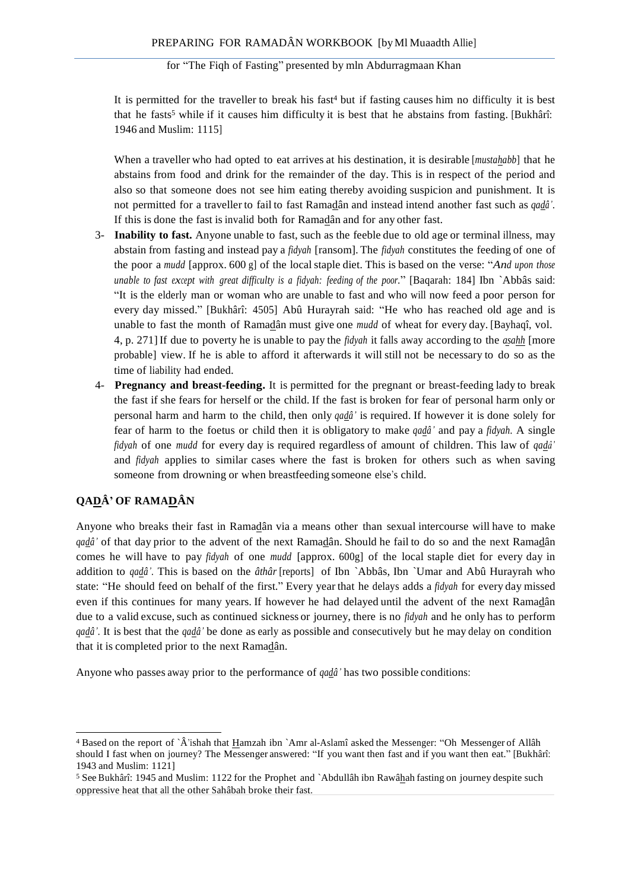It is permitted for the traveller to break his fast <sup>4</sup> but if fasting causes him no difficulty it is best that he fasts<sup>5</sup> while if it causes him difficulty it is best that he abstains from fasting. [Bukhârî: 1946 and Muslim: 1115]

When a traveller who had opted to eat arrives at his destination, it is desirable [*mustahabb*] that he abstains from food and drink for the remainder of the day. This is in respect of the period and also so that someone does not see him eating thereby avoiding suspicion and punishment. It is not permitted for a traveller to fail to fast Ramadân and instead intend another fast such as *qadâ'*. If this is done the fast is invalid both for Ramadân and for any other fast.

- 3- **Inability to fast.** Anyone unable to fast, such as the feeble due to old age or terminal illness, may abstain from fasting and instead pay a *fidyah* [ransom]. The *fidyah* constitutes the feeding of one of the poor a *mudd* [approx. 600 g] of the localstaple diet. This is based on the verse: "*And upon those unable to fast except with great difficulty is <sup>a</sup> fidyah: feeding of the poor.*" [Baqarah: 184] Ibn `Abbâs said: "It is the elderly man or woman who are unable to fast and who will now feed a poor person for every day missed." [Bukhârî: 4505] Abû Hurayrah said: "He who has reached old age and is unable to fast the month of Ramadân must give one *mudd* of wheat for every day. [Bayhaqî, vol. 4, p. 271] If due to poverty he is unable to pay the *fidyah* it falls away according to the *asahh* [more probable] view. If he is able to afford it afterwards it will still not be necessary to do so as the time of liability had ended.
- 4- **Pregnancy and breast-feeding.** It is permitted for the pregnant or breast-feeding lady to break the fast if she fears for herself or the child. If the fast is broken for fear of personal harm only or personal harm and harm to the child, then only *qadâ'* is required. If however it is done solely for fear of harm to the foetus or child then it is obligatory to make *qadâ'* and pay a *fidyah*. A single *fidyah* of one *mudd* for every day is required regardless of amount of children. This law of *qadâ'*  and *fidyah* applies to similar cases where the fast is broken for others such as when saving someone from drowning or when breastfeeding someone else's child.

# **QADÂ' OF RAMADÂN**

Anyone who breaks their fast in Ramadân via a means other than sexual intercourse will have to make *qadâ'* of that day prior to the advent of the next Ramadân. Should he fail to do so and the next Ramadân comes he will have to pay *fidyah* of one *mudd* [approx. 600g] of the local staple diet for every day in addition to *qadâ'*. This is based on the *âthâr* [reports] of Ibn `Abbâs, Ibn `Umar and Abû Hurayrah who state: "He should feed on behalf of the first." Every year that he delays adds a *fidyah* for every day missed even if this continues for many years. If however he had delayed until the advent of the next Ramadân due to a valid excuse, such as continued sickness or journey, there is no *fidyah* and he only has to perform *qadâ'*. It is best that the *qadâ'* be done as early as possible and consecutively but he may delay on condition that it is completed prior to the next Ramadân.

Anyone who passes away prior to the performance of *qadâ'* has two possible conditions:

<sup>4</sup> Based on the report of `Â'ishah that Hamzah ibn `Amr al-Aslamî asked the Messenger: "Oh Messenger of Allâh should I fast when on journey? The Messenger answered: "If you want then fast and if you want then eat." [Bukhârî: 1943 and Muslim: 1121]

<sup>5</sup> See Bukhârî: 1945 and Muslim: 1122 for the Prophet and `Abdullâh ibn Rawâhah fasting on journey despite such oppressive heat that all the other Sahâbah broke their fast.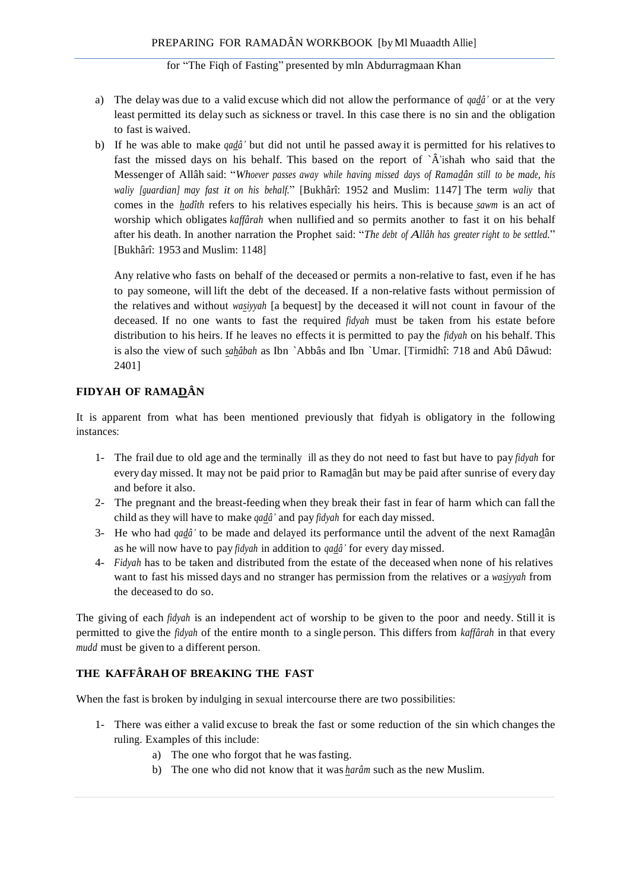- a) The delay was due to a valid excuse which did not allow the performance of *qadâ'* or at the very least permitted its delay such as sickness or travel. In this case there is no sin and the obligation to fast is waived.
- b) If he was able to make *qadâ'* but did not until he passed away it is permitted for his relatives to fast the missed days on his behalf. This based on the report of  $\hat{A}$ 'ishah who said that the Messenger of Allâh said: "*Whoever passes away while having missed days of Ramadân still to be made, his waliy [guardian] may fast it on his behalf.*" [Bukhârî: 1952 and Muslim: 1147] The term *waliy* that comes in the *hadîth* refers to his relatives especially his heirs. This is because *sawm* is an act of worship which obligates *kaffârah* when nullified and so permits another to fast it on his behalf after his death. In another narration the Prophet said: "*The debt of Allâh has greater right to be settled.*" [Bukhârî: 1953 and Muslim: 1148]

Any relative who fasts on behalf of the deceased or permits a non-relative to fast, even if he has to pay someone, will lift the debt of the deceased. If a non-relative fasts without permission of the relatives and without *wasiyyah* [a bequest] by the deceased it will not count in favour of the deceased. If no one wants to fast the required *fidyah* must be taken from his estate before distribution to his heirs. If he leaves no effects it is permitted to pay the *fidyah* on his behalf. This is also the view of such *sahâbah* as Ibn `Abbâs and Ibn `Umar. [Tirmidhî: 718 and Abû Dâwud: 2401]

## **FIDYAH OF RAMADÂN**

It is apparent from what has been mentioned previously that fidyah is obligatory in the following instances:

- 1- The frail due to old age and the terminally ill as they do not need to fast but have to pay *fidyah* for every day missed. It may not be paid prior to Ramadân but may be paid after sunrise of every day and before it also.
- 2- The pregnant and the breast-feeding when they break their fast in fear of harm which can fall the child as they will have to make *qadâ'* and pay *fidyah* for each day missed.
- 3- He who had *qadâ'* to be made and delayed its performance until the advent of the next Ramadân as he will now have to pay *fidyah* in addition to *qadâ'* for every day missed.
- 4- *Fidyah* has to be taken and distributed from the estate of the deceased when none of his relatives want to fast his missed days and no stranger has permission from the relatives or a *wasiyyah* from the deceased to do so.

The giving of each *fidyah* is an independent act of worship to be given to the poor and needy. Still it is permitted to give the *fidyah* of the entire month to a single person. This differs from *kaffârah* in that every *mudd* must be given to a different person.

## **THE KAFFÂRAH OF BREAKING THE FAST**

When the fast is broken by indulging in sexual intercourse there are two possibilities:

- 1- There was either a valid excuse to break the fast or some reduction of the sin which changes the ruling. Examples of this include:
	- a) The one who forgot that he wasfasting.
	- b) The one who did not know that it was *harâm* such as the new Muslim.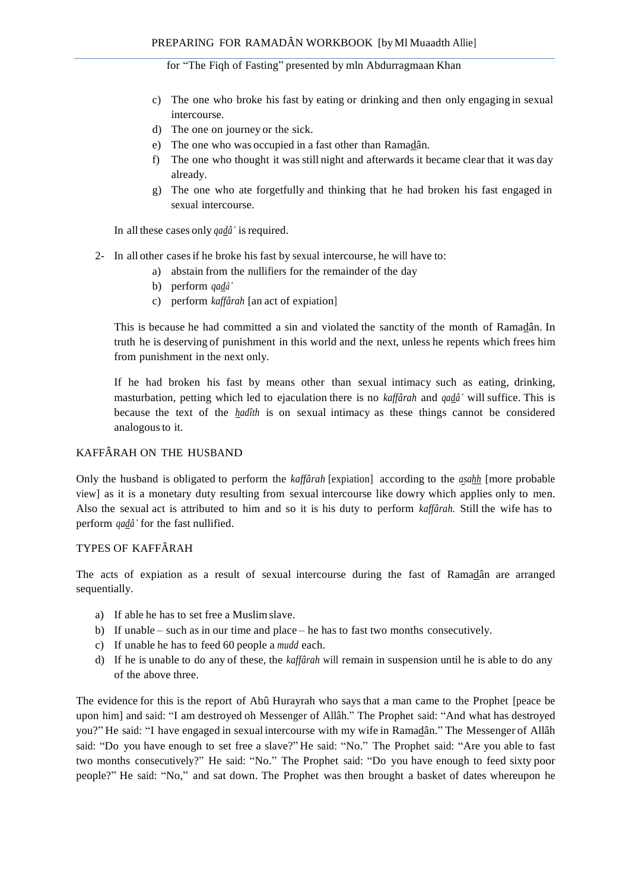- c) The one who broke his fast by eating or drinking and then only engaging in sexual intercourse.
- d) The one on journey or the sick.
- e) The one who was occupied in a fast other than Ramadân.
- f) The one who thought it was still night and afterwards it became clear that it was day already.
- g) The one who ate forgetfully and thinking that he had broken his fast engaged in sexual intercourse.

In all these cases only *qadâ'* is required.

- 2- In all other casesif he broke his fast by sexual intercourse, he will have to:
	- a) abstain from the nullifiers for the remainder of the day
	- b) perform *qadâ'*
	- c) perform *kaffârah* [an act of expiation]

This is because he had committed a sin and violated the sanctity of the month of Ramadân. In truth he is deserving of punishment in this world and the next, unless he repents which frees him from punishment in the next only.

If he had broken his fast by means other than sexual intimacy such as eating, drinking, masturbation, petting which led to ejaculation there is no *kaffârah* and *qadâ'* will suffice. This is because the text of the *hadîth* is on sexual intimacy as these things cannot be considered analogousto it.

### KAFFÂRAH ON THE HUSBAND

Only the husband is obligated to perform the *kaffârah* [expiation] according to the *asahh* [more probable view] as it is a monetary duty resulting from sexual intercourse like dowry which applies only to men. Also the sexual act is attributed to him and so it is his duty to perform *kaffârah*. Still the wife has to perform *qadâ'* for the fast nullified.

### TYPES OF KAFFÂRAH

The acts of expiation as a result of sexual intercourse during the fast of Ramadân are arranged sequentially.

- a) If able he has to set free a Muslimslave.
- b) If unable such as in our time and place he has to fast two months consecutively.
- c) If unable he has to feed 60 people a *mudd* each.
- d) If he is unable to do any of these, the *kaffârah* will remain in suspension until he is able to do any of the above three.

The evidence for this is the report of Abû Hurayrah who says that a man came to the Prophet [peace be upon him] and said: "I am destroyed oh Messenger of Allâh." The Prophet said: "And what has destroyed you?" He said: "I have engaged in sexual intercourse with my wife in Ramadân." The Messenger of Allâh said: "Do you have enough to set free a slave?" He said: "No." The Prophet said: "Are you able to fast two months consecutively?" He said: "No." The Prophet said: "Do you have enough to feed sixty poor people?" He said: "No," and sat down. The Prophet was then brought a basket of dates whereupon he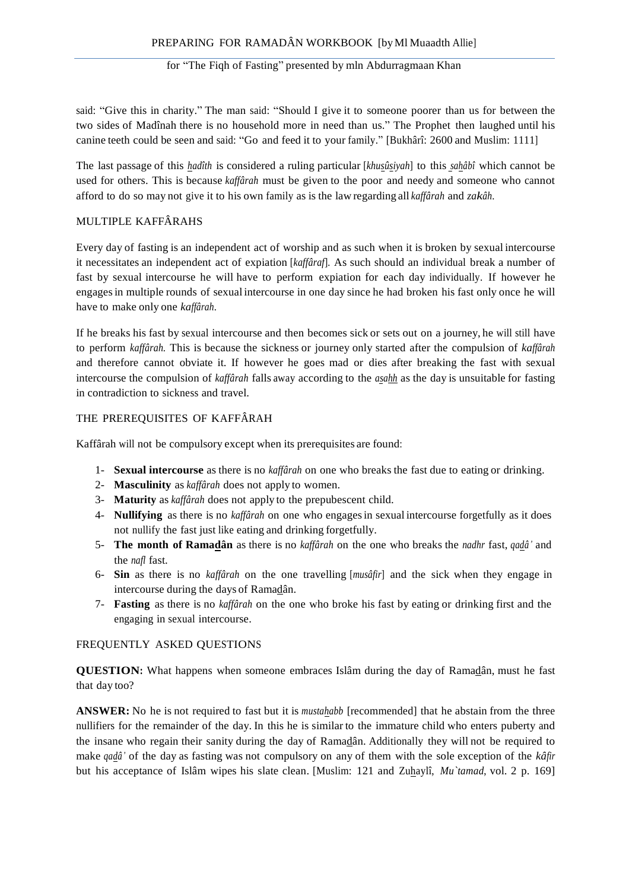said: "Give this in charity." The man said: "Should I give it to someone poorer than us for between the two sides of Madînah there is no household more in need than us." The Prophet then laughed until his canine teeth could be seen and said: "Go and feed it to your family." [Bukhârî: 2600 and Muslim: 1111]

The last passage of this *hadîth* is considered a ruling particular [*khusûsiyah*] to this *sahâbî* which cannot be used for others. This is because *kaffârah* must be given to the poor and needy and someone who cannot afford to do so may not give it to his own family as is the law regarding all *kaffârah* and *zakâh*.

## MULTIPLE KAFFÂRAHS

Every day of fasting is an independent act of worship and as such when it is broken by sexual intercourse it necessitates an independent act of expiation [*kaffâraf*]. As such should an individual break a number of fast by sexual intercourse he will have to perform expiation for each day individually. If however he engagesin multiple rounds of sexual intercourse in one day since he had broken his fast only once he will have to make only one *kaffârah*.

If he breaks his fast by sexual intercourse and then becomes sick or sets out on a journey, he will still have to perform *kaffârah.* This is because the sickness or journey only started after the compulsion of *kaffârah*  and therefore cannot obviate it. If however he goes mad or dies after breaking the fast with sexual intercourse the compulsion of *kaffârah* falls away according to the *asahh* as the day is unsuitable for fasting in contradiction to sickness and travel.

## THE PREREQUISITES OF KAFFÂRAH

Kaffârah will not be compulsory except when its prerequisites are found:

- 1- **Sexual intercourse** as there is no *kaffârah* on one who breaks the fast due to eating or drinking.
- 2- **Masculinity** as *kaffârah* does not apply to women.
- 3- **Maturity** as *kaffârah* does not apply to the prepubescent child.
- 4- **Nullifying** as there is no *kaffârah* on one who engagesin sexual intercourse forgetfully as it does not nullify the fast just like eating and drinking forgetfully.
- 5- **The month of Ramadân** as there is no *kaffârah* on the one who breaks the *nadhr* fast, *qadâ'* and the *nafl* fast.
- 6- **Sin** as there is no *kaffârah* on the one travelling [*musâfir*] and the sick when they engage in intercourse during the days of Ramadân.
- 7- **Fasting** as there is no *kaffârah* on the one who broke his fast by eating or drinking first and the engaging in sexual intercourse.

## FREQUENTLY ASKED QUESTIONS

**QUESTION:** What happens when someone embraces Islâm during the day of Ramadân, must he fast that day too?

**ANSWER:** No he is not required to fast but it is *mustahabb* [recommended] that he abstain from the three nullifiers for the remainder of the day. In this he is similar to the immature child who enters puberty and the insane who regain their sanity during the day of Ramadân. Additionally they will not be required to make *qadâ'* of the day as fasting was not compulsory on any of them with the sole exception of the *kâfir*  but his acceptance of Islâm wipes his slate clean. [Muslim: 121 and Zuhaylî, *Mu`tamad*, vol. 2 p. 169]